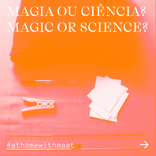# MAGIA OU CIÊNCIA? MAGIC OR SCIENCE?



STREET DE LE COMPANIER DE LA VIE DE LA VIE DE LA VIE DE LA VIE DE LA VIE DE LA VIE DE #athomewithmaat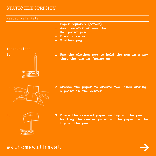## STATIC ELECTRICITY

### Needed materials

- Paper squares (5x5cm), —
- Wool sweater or wool ball,
- Ballpoint pen,
- Plastic ruler,
- Clothes peg. —

### Instructions



1. Use the clothes peg to hold the pen in a way that the tip is facing up.



2. Crease the paper to create two lines draing a point in the center.



3. Place the creased paper on top of the pen, holding the center point of the paper in the tip of the pen.

# #athomewithmaat

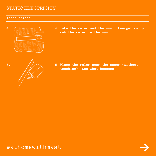# STATIC ELECTRICITY

## Instructions

5.



4. Take the ruler and the wool. Energetically, rub the ruler in the wool.



5. Place the ruler near the paper (without touching). See what happens.